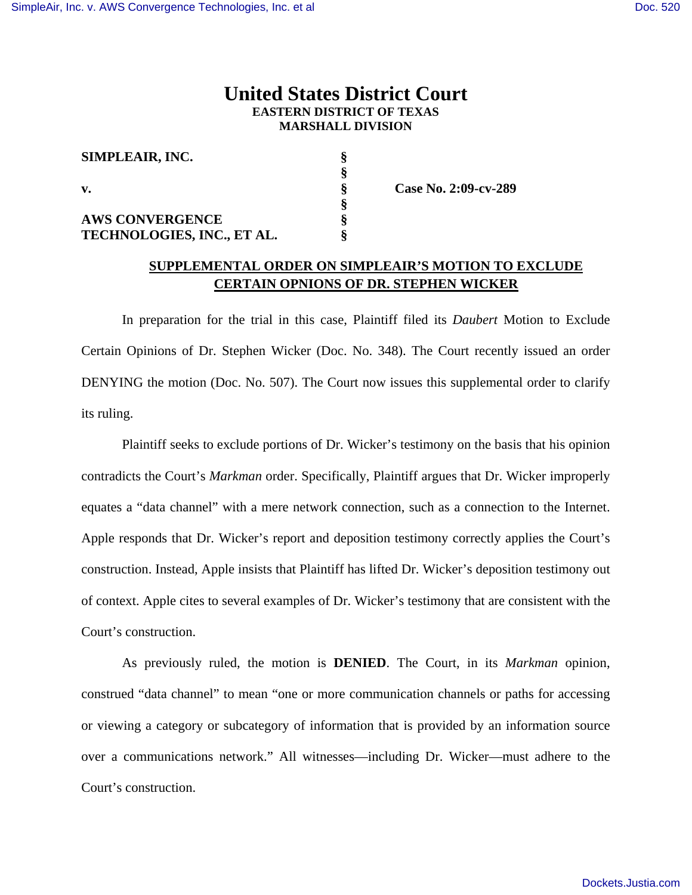## **United States District Court EASTERN DISTRICT OF TEXAS MARSHALL DIVISION**

| SIMPLEAIR, INC.            |  |
|----------------------------|--|
|                            |  |
| V.                         |  |
|                            |  |
| <b>AWS CONVERGENCE</b>     |  |
| TECHNOLOGIES, INC., ET AL. |  |

**v. § Case No. 2:09-cv-289** 

## **SUPPLEMENTAL ORDER ON SIMPLEAIR'S MOTION TO EXCLUDE CERTAIN OPNIONS OF DR. STEPHEN WICKER**

In preparation for the trial in this case, Plaintiff filed its *Daubert* Motion to Exclude Certain Opinions of Dr. Stephen Wicker (Doc. No. 348). The Court recently issued an order DENYING the motion (Doc. No. 507). The Court now issues this supplemental order to clarify its ruling.

Plaintiff seeks to exclude portions of Dr. Wicker's testimony on the basis that his opinion contradicts the Court's *Markman* order. Specifically, Plaintiff argues that Dr. Wicker improperly equates a "data channel" with a mere network connection, such as a connection to the Internet. Apple responds that Dr. Wicker's report and deposition testimony correctly applies the Court's construction. Instead, Apple insists that Plaintiff has lifted Dr. Wicker's deposition testimony out of context. Apple cites to several examples of Dr. Wicker's testimony that are consistent with the Court's construction.

As previously ruled, the motion is **DENIED**. The Court, in its *Markman* opinion, construed "data channel" to mean "one or more communication channels or paths for accessing or viewing a category or subcategory of information that is provided by an information source over a communications network." All witnesses—including Dr. Wicker—must adhere to the Court's construction.